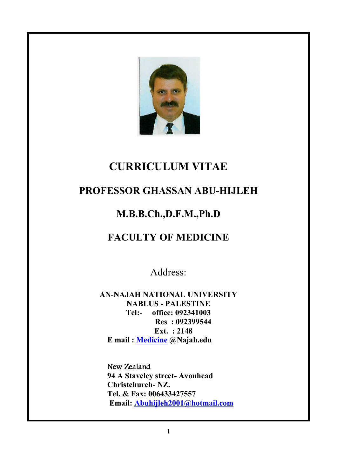

# **CURRICULUM VITAE**

## **PROFESSOR GHASSAN ABU-HIJLEH**

## **M.B.B.Ch.,D.F.M.,Ph.D**

## **FACULTY OF MEDICINE**

Address:

**AN-NAJAH NATIONAL UNIVERSITY NABLUS - PALESTINE Tel:- office: 092341003 Res : 092399544 Ext. : 2148 E mail : Medicine @Najah.edu**

New Zealand  **94 A Staveley street- Avonhead Christchurch- NZ. Tel. & Fax: 006433427557 Email: Abuhijleh2001@hotmail.com**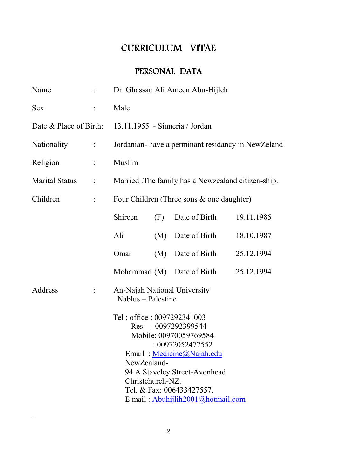## CURRICULUM VITAE

## PERSONAL DATA

| Name                  |                               | Dr. Ghassan Ali Ameen Abu-Hijleh                                                                                                                                                                                                                                   |     |                            |            |
|-----------------------|-------------------------------|--------------------------------------------------------------------------------------------------------------------------------------------------------------------------------------------------------------------------------------------------------------------|-----|----------------------------|------------|
| <b>Sex</b>            | $\ddot{\cdot}$                | Male                                                                                                                                                                                                                                                               |     |                            |            |
|                       |                               | Date & Place of Birth: 13.11.1955 - Sinneria / Jordan                                                                                                                                                                                                              |     |                            |            |
| Nationality           | $\sim 10^{11}$ .              | Jordanian-have a perminant residancy in NewZeland                                                                                                                                                                                                                  |     |                            |            |
| Religion              | $\mathbb{Z}^{\mathbb{Z}}$     | Muslim                                                                                                                                                                                                                                                             |     |                            |            |
| <b>Marital Status</b> | $\ddot{\ddot{\phantom{0}}}\,$ | Married The family has a Newzealand citizen-ship.                                                                                                                                                                                                                  |     |                            |            |
| Children              | $\ddot{\cdot}$                | Four Children (Three sons & one daughter)                                                                                                                                                                                                                          |     |                            |            |
|                       |                               | Shireen                                                                                                                                                                                                                                                            | (F) | Date of Birth              | 19.11.1985 |
|                       |                               | Ali                                                                                                                                                                                                                                                                |     | (M) Date of Birth          | 18.10.1987 |
|                       |                               | Omar                                                                                                                                                                                                                                                               |     | (M) Date of Birth          | 25.12.1994 |
|                       |                               |                                                                                                                                                                                                                                                                    |     | Mohammad (M) Date of Birth | 25.12.1994 |
| Address               |                               | An-Najah National University<br>Nablus - Palestine                                                                                                                                                                                                                 |     |                            |            |
|                       |                               | Tel: office: 0097292341003<br>Res : 0097292399544<br>Mobile: 00970059769584<br>: 00972052477552<br>Email: Medicine@Najah.edu<br>NewZealand-<br>94 A Staveley Street-Avonhead<br>Christchurch-NZ.<br>Tel. & Fax: 006433427557.<br>E mail: Abuhijlih2001@hotmail.com |     |                            |            |

 $\mathbf{r}$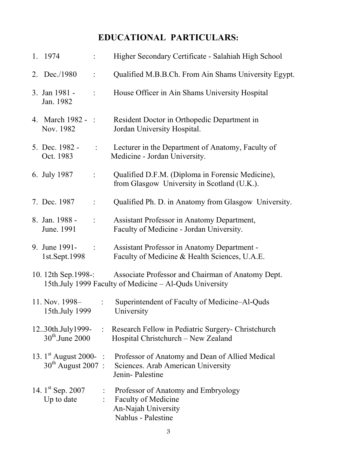## **EDUCATIONAL PARTICULARS:**

| 1. 1974                                          |                | Higher Secondary Certificate - Salahiah High School                                                                                         |
|--------------------------------------------------|----------------|---------------------------------------------------------------------------------------------------------------------------------------------|
| 2. Dec./1980                                     | $\ddot{\cdot}$ | Qualified M.B.B.Ch. From Ain Shams University Egypt.                                                                                        |
| 3. Jan 1981 -<br>Jan. 1982                       | ÷              | House Officer in Ain Shams University Hospital                                                                                              |
| 4. March 1982 - :<br>Nov. 1982                   |                | Resident Doctor in Orthopedic Department in<br>Jordan University Hospital.                                                                  |
| 5. Dec. 1982 -<br>Oct. 1983                      | $\frac{1}{2}$  | Lecturer in the Department of Anatomy, Faculty of<br>Medicine - Jordan University.                                                          |
| 6. July 1987                                     |                | Qualified D.F.M. (Diploma in Forensic Medicine),<br>from Glasgow University in Scotland (U.K.).                                             |
| 7. Dec. 1987                                     |                | Qualified Ph. D. in Anatomy from Glasgow University.                                                                                        |
| 8. Jan. 1988 -<br>June. 1991                     | $\ddot{\cdot}$ | Assistant Professor in Anatomy Department,<br>Faculty of Medicine - Jordan University.                                                      |
| 9. June 1991-<br>1st.Sept.1998                   | $\ddot{\cdot}$ | <b>Assistant Professor in Anatomy Department -</b><br>Faculty of Medicine & Health Sciences, U.A.E.                                         |
| 10. 12th Sep. 1998-:                             |                | Associate Professor and Chairman of Anatomy Dept.<br>15th.July 1999 Faculty of Medicine - Al-Quds University                                |
| 11. Nov. 1998–<br>15th.July 1999                 |                | : Superintendent of Faculty of Medicine–Al-Quds<br>University                                                                               |
| 1230th.July1999-<br>$30^{\text{th}}$ . June 2000 |                | : Research Fellow in Pediatric Surgery- Christchurch<br>Hospital Christchurch - New Zealand                                                 |
| $30th$ August 2007:                              |                | 13. 1 <sup>st</sup> August 2000- : Professor of Anatomy and Dean of Allied Medical<br>Sciences. Arab American University<br>Jenin-Palestine |
| 14. $1^{\text{st}}$ Sep. 2007<br>Up to date      |                | : Professor of Anatomy and Embryology<br>: Faculty of Medicine<br>An-Najah University<br>Nablus - Palestine                                 |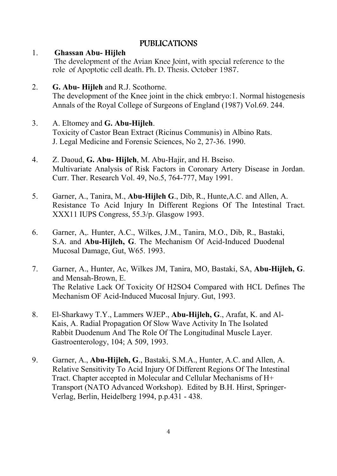## PUBLICATIONS PUBLICATIONS

### 1. **Ghassan Abu- Hijleh**

 The development of the Avian Knee Joint, with special reference to the role of Apoptotic cell death. Ph. D. Thesis. October 1987.

2. **G. Abu- Hijleh** and R.J. Scothorne.

The development of the Knee joint in the chick embryo:1. Normal histogenesis Annals of the Royal College of Surgeons of England (1987) Vol.69. 244.

- 3. A. Eltomey and **G. Abu-Hijleh**. Toxicity of Castor Bean Extract (Ricinus Communis) in Albino Rats. J. Legal Medicine and Forensic Sciences, No 2, 27-36. 1990.
- 4. Z. Daoud, **G. Abu- Hijleh**, M. Abu-Hajir, and H. Bseiso. Multivariate Analysis of Risk Factors in Coronary Artery Disease in Jordan. Curr. Ther. Research Vol. 49, No.5, 764-777, May 1991.
- 5. Garner, A., Tanira, M., **Abu-Hijleh G**., Dib, R., Hunte,A.C. and Allen, A. Resistance To Acid Injury In Different Regions Of The Intestinal Tract. XXX11 IUPS Congress, 55.3/p. Glasgow 1993.
- 6. Garner, A,. Hunter, A.C., Wilkes, J.M., Tanira, M.O., Dib, R., Bastaki, S.A. and **Abu-Hijleh, G**. The Mechanism Of Acid-Induced Duodenal Mucosal Damage, Gut, W65. 1993.
- 7. Garner, A., Hunter, Ac, Wilkes JM, Tanira, MO, Bastaki, SA, **Abu-Hijleh, G**. and Mensah-Brown, E. The Relative Lack Of Toxicity Of H2SO4 Compared with HCL Defines The Mechanism OF Acid-Induced Mucosal Injury. Gut, 1993.
- 8. El-Sharkawy T.Y., Lammers WJEP., **Abu-Hijleh, G**., Arafat, K. and Al- Kais, A. Radial Propagation Of Slow Wave Activity In The Isolated Rabbit Duodenum And The Role Of The Longitudinal Muscle Layer. Gastroenterology, 104; A 509, 1993.
- 9. Garner, A., **Abu-Hijleh, G**., Bastaki, S.M.A., Hunter, A.C. and Allen, A. Relative Sensitivity To Acid Injury Of Different Regions Of The Intestinal Tract. Chapter accepted in Molecular and Cellular Mechanisms of H+ Transport (NATO Advanced Workshop). Edited by B.H. Hirst, Springer- Verlag, Berlin, Heidelberg 1994, p.p.431 - 438.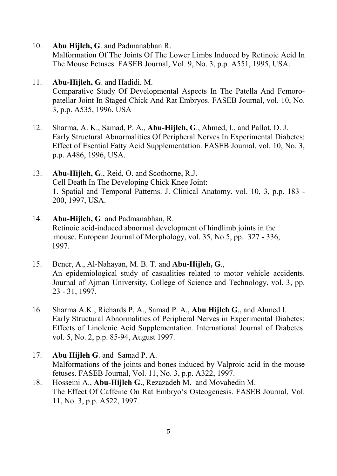10. **Abu Hijleh, G**. and Padmanabhan R.

Malformation Of The Joints Of The Lower Limbs Induced by Retinoic Acid In The Mouse Fetuses. FASEB Journal, Vol. 9, No. 3, p.p. A551, 1995, USA.

11. **Abu-Hijleh, G**. and Hadidi, M.

Comparative Study Of Developmental Aspects In The Patella And Femoropatellar Joint In Staged Chick And Rat Embryos. FASEB Journal, vol. 10, No. 3, p.p. A535, 1996, USA

- 12. Sharma, A. K., Samad, P. A., **Abu-Hijleh, G**., Ahmed, I., and Pallot, D. J. Early Structural Abnormalities Of Peripheral Nerves In Experimental Diabetes: Effect of Esential Fatty Acid Supplementation. FASEB Journal, vol. 10, No. 3, p.p. A486, 1996, USA.
- 13. **Abu-Hijleh, G**., Reid, O. and Scothorne, R.J. Cell Death In The Developing Chick Knee Joint: 1. Spatial and Temporal Patterns. J. Clinical Anatomy. vol. 10, 3, p.p. 183 - 200, 1997, USA.
- 14. **Abu-Hijleh, G**. and Padmanabhan, R. Retinoic acid-induced abnormal development of hindlimb joints in the mouse. European Journal of Morphology, vol. 35, No.5, pp. 327 - 336, 1997.
- 15. Bener, A., Al-Nahayan, M. B. T. and **Abu-Hijleh, G**., An epidemiological study of casualities related to motor vehicle accidents. Journal of Ajman University, College of Science and Technology, vol. 3, pp. 23 - 31, 1997.
- 16. Sharma A.K., Richards P. A., Samad P. A., **Abu Hijleh G**., and Ahmed I. Early Structural Abnormalities of Peripheral Nerves in Experimental Diabetes: Effects of Linolenic Acid Supplementation. International Journal of Diabetes. vol. 5, No. 2, p.p. 85-94, August 1997.
- 17. **Abu Hijleh G**. and Samad P. A. Malformations of the joints and bones induced by Valproic acid in the mouse fetuses. FASEB Journal, Vol. 11, No. 3, p.p. A322, 1997.
- 18. Hosseini A., **Abu-Hijleh G**., Rezazadeh M. and Movahedin M. The Effect Of Caffeine On Rat Embryo's Osteogenesis. FASEB Journal, Vol. 11, No. 3, p.p. A522, 1997.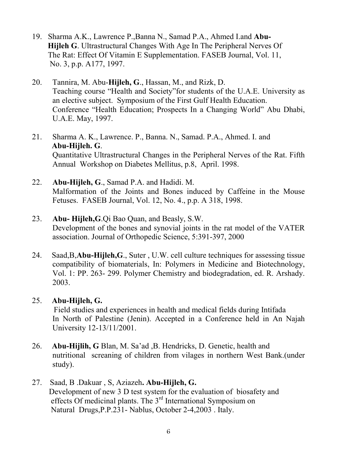- 19. Sharma A.K., Lawrence P.,Banna N., Samad P.A., Ahmed I.and **Abu- Hijleh G**. Ultrastructural Changes With Age In The Peripheral Nerves Of The Rat: Effect Of Vitamin E Supplementation. FASEB Journal, Vol. 11, No. 3, p.p. A177, 1997.
- 20. Tannira, M. Abu-**Hijleh, G**., Hassan, M., and Rizk, D. Teaching course "Health and Society"for students of the U.A.E. University as an elective subject. Symposium of the First Gulf Health Education. Conference "Health Education; Prospects In a Changing World" Abu Dhabi, U.A.E. May, 1997.
- 21. Sharma A. K., Lawrence. P., Banna. N., Samad. P.A., Ahmed. I. and **Abu-Hijleh. G**. Quantitative Ultrastructural Changes in the Peripheral Nerves of the Rat. Fifth Annual Workshop on Diabetes Mellitus, p.8, April. 1998.
- 22. **Abu-Hijleh, G**., Samad P.A. and Hadidi. M. Malformation of the Joints and Bones induced by Caffeine in the Mouse Fetuses. FASEB Journal, Vol. 12, No. 4., p.p. A 318, 1998.
- 23. **Abu- Hijleh,G**.Qi Bao Quan, and Beasly, S.W. Development of the bones and synovial joints in the rat model of the VATER association. Journal of Orthopedic Science, 5:391-397, 2000
- 24. Saad,B,**Abu-Hijleh,G**., Suter , U.W. cell culture techniques for assessing tissue compatibility of biomaterials, In: Polymers in Medicine and Biotechnology, Vol. 1: PP. 263- 299. Polymer Chemistry and biodegradation, ed. R. Arshady. 2003.
- 25. **Abu-Hijleh, G.**

Field studies and experiences in health and medical fields during Intifada In North of Palestine (Jenin). Accepted in a Conference held in An Najah University 12-13/11/2001.

- 26. **Abu-Hijlih, G** Blan, M. Sa'ad ,B. Hendricks, D. Genetic, health and nutritional screaning of children from vilages in northern West Bank.(under study).
- 27. Saad, B .Dakuar , S, Aziazeh**. Abu-Hijleh, G.** Development of new 3 D test system for the evaluation of biosafety and effects Of medicinal plants. The 3rd International Symposium on Natural Drugs,P.P.231- Nablus, October 2-4,2003 . Italy.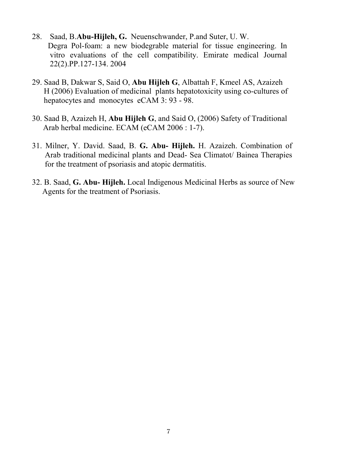- 28. Saad, B.**Abu-Hijleh, G.** Neuenschwander, P.and Suter, U. W. Degra Pol-foam: a new biodegrable material for tissue engineering. In vitro evaluations of the cell compatibility. Emirate medical Journal 22(2).PP.127-134. 2004
- 29. Saad B, Dakwar S, Said O, **Abu Hijleh G**, Albattah F, Kmeel AS, Azaizeh H (2006) Evaluation of medicinal plants hepatotoxicity using co-cultures of hepatocytes and monocytes eCAM 3: 93 - 98.
- 30. Saad B, Azaizeh H, **Abu Hijleh G**, and Said O, (2006) Safety of Traditional Arab herbal medicine. ECAM (eCAM 2006 : 1-7).
- 31. Milner, Y. David. Saad, B. **G. Abu- Hijleh.** H. Azaizeh. Combination of Arab traditional medicinal plants and Dead- Sea Climatot/ Bainea Therapies for the treatment of psoriasis and atopic dermatitis.
- 32. B. Saad, **G. Abu- Hijleh.** Local Indigenous Medicinal Herbs as source of New Agents for the treatment of Psoriasis.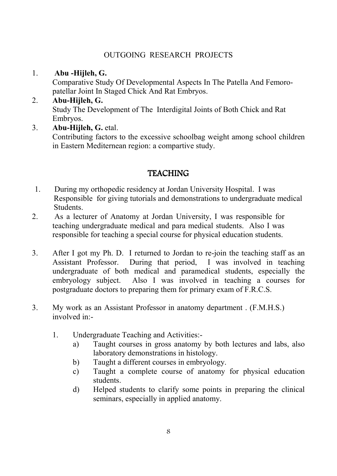### OUTGOING RESEARCH PROJECTS

### 1. **Abu -Hijleh, G.**

Comparative Study Of Developmental Aspects In The Patella And Femoropatellar Joint In Staged Chick And Rat Embryos.

- 2. **Abu-Hijleh, G.** Study The Development of The Interdigital Joints of Both Chick and Rat Embryos.
- 3. **Abu-Hijleh, G.** etal.

Contributing factors to the excessive schoolbag weight among school children in Eastern Mediternean region: a compartive study.

## **TEACHING**

- 1. During my orthopedic residency at Jordan University Hospital. I was Responsible for giving tutorials and demonstrations to undergraduate medical Students.
- 2. As a lecturer of Anatomy at Jordan University, I was responsible for teaching undergraduate medical and para medical students. Also I was responsible for teaching a special course for physical education students.
- 3. After I got my Ph. D. I returned to Jordan to re-join the teaching staff as an Assistant Professor. During that period, I was involved in teaching undergraduate of both medical and paramedical students, especially the embryology subject. Also I was involved in teaching a courses for postgraduate doctors to preparing them for primary exam of F.R.C.S.
- 3. My work as an Assistant Professor in anatomy department . (F.M.H.S.) involved in:-
	- 1. Undergraduate Teaching and Activities:
		- a) Taught courses in gross anatomy by both lectures and labs, also laboratory demonstrations in histology.
		- b) Taught a different courses in embryology.
		- c) Taught a complete course of anatomy for physical education students.
		- d) Helped students to clarify some points in preparing the clinical seminars, especially in applied anatomy.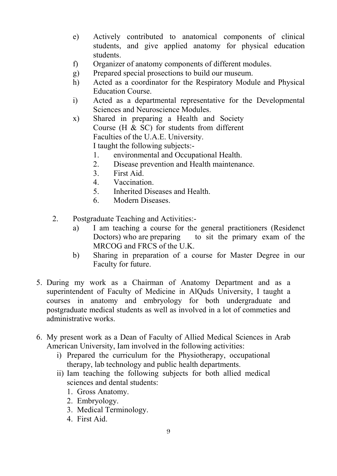- e) Actively contributed to anatomical components of clinical students, and give applied anatomy for physical education students.
- f) Organizer of anatomy components of different modules.
- g) Prepared special prosections to build our museum.
- h) Acted as a coordinator for the Respiratory Module and Physical Education Course.
- i) Acted as a departmental representative for the Developmental Sciences and Neuroscience Modules.
- x) Shared in preparing a Health and Society Course (H & SC) for students from different Faculties of the U.A.E. University. I taught the following subjects:-
	- 1. environmental and Occupational Health.
	- 2. Disease prevention and Health maintenance.
	- 3. First Aid.
	- 4. Vaccination.
	- 5. Inherited Diseases and Health.
	- 6. Modern Diseases.
- 2. Postgraduate Teaching and Activities:
	- a) I am teaching a course for the general practitioners (Residenct Doctors) who are preparing to sit the primary exam of the MRCOG and FRCS of the U.K.
	- b) Sharing in preparation of a course for Master Degree in our Faculty for future.
- 5. During my work as a Chairman of Anatomy Department and as a superintendent of Faculty of Medicine in AlQuds University, I taught a courses in anatomy and embryology for both undergraduate and postgraduate medical students as well as involved in a lot of commeties and administrative works.
- 6. My present work as a Dean of Faculty of Allied Medical Sciences in Arab American University, Iam involved in the following activities:
	- i) Prepared the curriculum for the Physiotherapy, occupational therapy, lab technology and public health departments.
	- ii) Iam teaching the following subjects for both allied medical sciences and dental students:
		- 1. Gross Anatomy.
		- 2. Embryology.
		- 3. Medical Terminology.
		- 4. First Aid.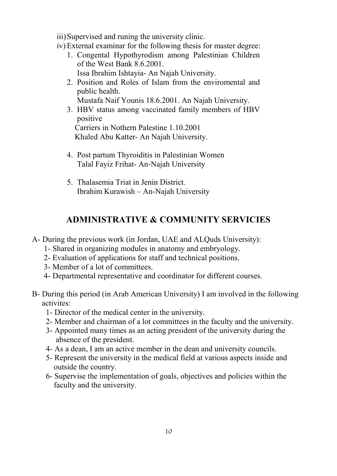iii)Supervised and runing the university clinic.

- iv) External examinar for the following thesis for master degree:
	- 1. Congental Hypothyrodism among Palestinian Children of the West Bank 8.6.2001. Issa Ibrahim Ishtayia- An Najah University.
	- 2. Position and Roles of Islam from the enviromental and public health.

Mustafa Naif Younis 18.6.2001. An Najah University.

3. HBV status among vaccinated family members of HBV positive

 Carriers in Nothern Palestine 1.10.2001 Khaled Abu Katter- An Najah University.

- 4. Post partum Thyroiditis in Palestinian Women Talal Fayiz Frihat- An-Najah University
- 5. Thalasemia Triat in Jenin District. Ibrahim Kurawish – An-Najah University

### **ADMINISTRATIVE & COMMUNITY SERVICIES**

- A- During the previous work (in Jordan, UAE and ALQuds University):
	- 1- Shared in organizing modules in anatomy and embryology.
	- 2- Evaluation of applications for staff and technical positions.
	- 3- Member of a lot of committees.
	- 4- Departmental representative and coordinator for different courses.
- B- During this period (in Arab American University) I am involved in the following activites:
	- 1- Director of the medical center in the university.
	- 2- Member and chairman of a lot committees in the faculty and the university.
	- 3- Appointed many times as an acting president of the university during the absence of the president.
	- 4- As a dean, I am an active member in the dean and university councils.
	- 5- Represent the university in the medical field at various aspects inside and outside the country.
	- 6- Supervise the implementation of goals, objectives and policies within the faculty and the university.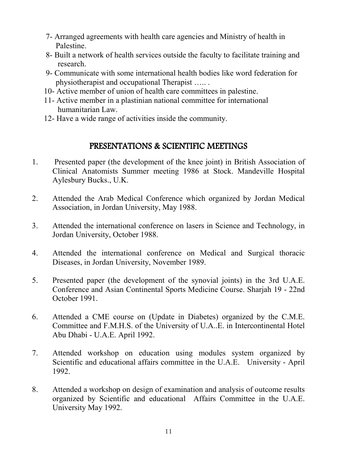- 7- Arranged agreements with health care agencies and Ministry of health in Palestine.
- 8- Built a network of health services outside the faculty to facilitate training and research.
- 9- Communicate with some international health bodies like word federation for physiotherapist and occupational Therapist ….. .
- 10- Active member of union of health care committees in palestine.
- 11- Active member in a plastinian national committee for international humanitarian Law.
- 12- Have a wide range of activities inside the community.

## PRESENTATIONS & SCIENTIFIC MEETINGS

- 1. Presented paper (the development of the knee joint) in British Association of Clinical Anatomists Summer meeting 1986 at Stock. Mandeville Hospital Aylesbury Bucks., U.K.
- 2. Attended the Arab Medical Conference which organized by Jordan Medical Association, in Jordan University, May 1988.
- 3. Attended the international conference on lasers in Science and Technology, in Jordan University, October 1988.
- 4. Attended the international conference on Medical and Surgical thoracic Diseases, in Jordan University, November 1989.
- 5. Presented paper (the development of the synovial joints) in the 3rd U.A.E. Conference and Asian Continental Sports Medicine Course. Sharjah 19 - 22nd October 1991.
- 6. Attended a CME course on (Update in Diabetes) organized by the C.M.E. Committee and F.M.H.S. of the University of U.A..E. in Intercontinental Hotel Abu Dhabi - U.A.E. April 1992.
- 7. Attended workshop on education using modules system organized by Scientific and educational affairs committee in the U.A.E. University - April 1992.
- 8. Attended a workshop on design of examination and analysis of outcome results organized by Scientific and educational Affairs Committee in the U.A.E. University May 1992.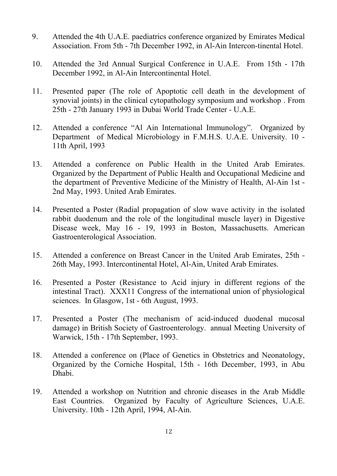- 9. Attended the 4th U.A.E. paediatrics conference organized by Emirates Medical Association. From 5th - 7th December 1992, in Al-Ain Intercon-tinental Hotel.
- 10. Attended the 3rd Annual Surgical Conference in U.A.E. From 15th 17th December 1992, in Al-Ain Intercontinental Hotel.
- 11. Presented paper (The role of Apoptotic cell death in the development of synovial joints) in the clinical cytopathology symposium and workshop . From 25th - 27th January 1993 in Dubai World Trade Center - U.A.E.
- 12. Attended a conference "Al Ain International Immunology". Organized by Department of Medical Microbiology in F.M.H.S. U.A.E. University. 10 - 11th April, 1993
- 13. Attended a conference on Public Health in the United Arab Emirates. Organized by the Department of Public Health and Occupational Medicine and the department of Preventive Medicine of the Ministry of Health, Al-Ain 1st - 2nd May, 1993. United Arab Emirates.
- 14. Presented a Poster (Radial propagation of slow wave activity in the isolated rabbit duodenum and the role of the longitudinal muscle layer) in Digestive Disease week, May 16 - 19, 1993 in Boston, Massachusetts. American Gastroenterological Association.
- 15. Attended a conference on Breast Cancer in the United Arab Emirates, 25th 26th May, 1993. Intercontinental Hotel, Al-Ain, United Arab Emirates.
- 16. Presented a Poster (Resistance to Acid injury in different regions of the intestinal Tract). XXX11 Congress of the international union of physiological sciences. In Glasgow, 1st - 6th August, 1993.
- 17. Presented a Poster (The mechanism of acid-induced duodenal mucosal damage) in British Society of Gastroenterology. annual Meeting University of Warwick, 15th - 17th September, 1993.
- 18. Attended a conference on (Place of Genetics in Obstetrics and Neonatology, Organized by the Corniche Hospital, 15th - 16th December, 1993, in Abu Dhabi.
- 19. Attended a workshop on Nutrition and chronic diseases in the Arab Middle East Countries. Organized by Faculty of Agriculture Sciences, U.A.E. University. 10th - 12th April, 1994, Al-Ain.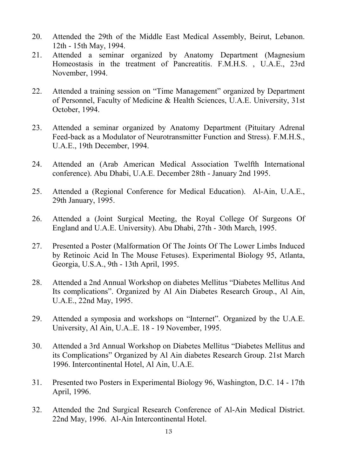- 20. Attended the 29th of the Middle East Medical Assembly, Beirut, Lebanon. 12th - 15th May, 1994.
- 21. Attended a seminar organized by Anatomy Department (Magnesium Homeostasis in the treatment of Pancreatitis. F.M.H.S. , U.A.E., 23rd November, 1994.
- 22. Attended a training session on "Time Management" organized by Department of Personnel, Faculty of Medicine & Health Sciences, U.A.E. University, 31st October, 1994.
- 23. Attended a seminar organized by Anatomy Department (Pituitary Adrenal Feed-back as a Modulator of Neurotransmitter Function and Stress). F.M.H.S., U.A.E., 19th December, 1994.
- 24. Attended an (Arab American Medical Association Twelfth International conference). Abu Dhabi, U.A.E. December 28th - January 2nd 1995.
- 25. Attended a (Regional Conference for Medical Education). Al-Ain, U.A.E., 29th January, 1995.
- 26. Attended a (Joint Surgical Meeting, the Royal College Of Surgeons Of England and U.A.E. University). Abu Dhabi, 27th - 30th March, 1995.
- 27. Presented a Poster (Malformation Of The Joints Of The Lower Limbs Induced by Retinoic Acid In The Mouse Fetuses). Experimental Biology 95, Atlanta, Georgia, U.S.A., 9th - 13th April, 1995.
- 28. Attended a 2nd Annual Workshop on diabetes Mellitus "Diabetes Mellitus And Its complications". Organized by Al Ain Diabetes Research Group., Al Ain, U.A.E., 22nd May, 1995.
- 29. Attended a symposia and workshops on "Internet". Organized by the U.A.E. University, Al Ain, U.A..E. 18 - 19 November, 1995.
- 30. Attended a 3rd Annual Workshop on Diabetes Mellitus "Diabetes Mellitus and its Complications" Organized by Al Ain diabetes Research Group. 21st March 1996. Intercontinental Hotel, Al Ain, U.A.E.
- 31. Presented two Posters in Experimental Biology 96, Washington, D.C. 14 17th April, 1996.
- 32. Attended the 2nd Surgical Research Conference of Al-Ain Medical District. 22nd May, 1996. Al-Ain Intercontinental Hotel.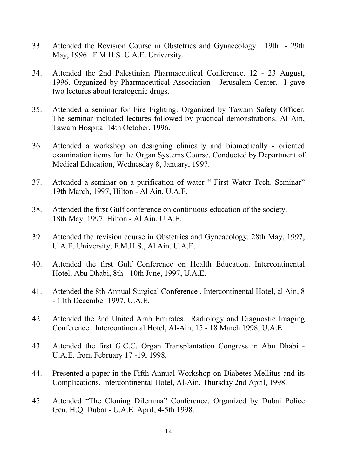- 33. Attended the Revision Course in Obstetrics and Gynaecology . 19th 29th May, 1996. F.M.H.S. U.A.E. University.
- 34. Attended the 2nd Palestinian Pharmaceutical Conference. 12 23 August, 1996. Organized by Pharmaceutical Association - Jerusalem Center. I gave two lectures about teratogenic drugs.
- 35. Attended a seminar for Fire Fighting. Organized by Tawam Safety Officer. The seminar included lectures followed by practical demonstrations. Al Ain, Tawam Hospital 14th October, 1996.
- 36. Attended a workshop on designing clinically and biomedically oriented examination items for the Organ Systems Course. Conducted by Department of Medical Education, Wednesday 8, January, 1997.
- 37. Attended a seminar on a purification of water " First Water Tech. Seminar" 19th March, 1997, Hilton - Al Ain, U.A.E.
- 38. Attended the first Gulf conference on continuous education of the society. 18th May, 1997, Hilton - Al Ain, U.A.E.
- 39. Attended the revision course in Obstetrics and Gyneacology. 28th May, 1997, U.A.E. University, F.M.H.S., Al Ain, U.A.E.
- 40. Attended the first Gulf Conference on Health Education. Intercontinental Hotel, Abu Dhabi, 8th - 10th June, 1997, U.A.E.
- 41. Attended the 8th Annual Surgical Conference . Intercontinental Hotel, al Ain, 8 - 11th December 1997, U.A.E.
- 42. Attended the 2nd United Arab Emirates. Radiology and Diagnostic Imaging Conference. Intercontinental Hotel, Al-Ain, 15 - 18 March 1998, U.A.E.
- 43. Attended the first G.C.C. Organ Transplantation Congress in Abu Dhabi U.A.E. from February 17 -19, 1998.
- 44. Presented a paper in the Fifth Annual Workshop on Diabetes Mellitus and its Complications, Intercontinental Hotel, Al-Ain, Thursday 2nd April, 1998.
- 45. Attended "The Cloning Dilemma" Conference. Organized by Dubai Police Gen. H.Q. Dubai - U.A.E. April, 4-5th 1998.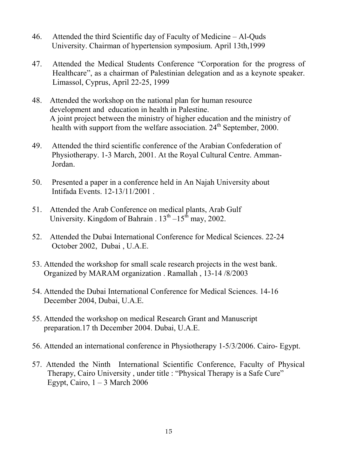- 46. Attended the third Scientific day of Faculty of Medicine Al-Quds University. Chairman of hypertension symposium. April 13th,1999
- 47. Attended the Medical Students Conference "Corporation for the progress of Healthcare", as a chairman of Palestinian delegation and as a keynote speaker. Limassol, Cyprus, April 22-25, 1999
- 48. Attended the workshop on the national plan for human resource development and education in health in Palestine. A joint project between the ministry of higher education and the ministry of health with support from the welfare association.  $24<sup>th</sup>$  September, 2000.
- 49. Attended the third scientific conference of the Arabian Confederation of Physiotherapy. 1-3 March, 2001. At the Royal Cultural Centre. Amman- Jordan.
- 50. Presented a paper in a conference held in An Najah University about Intifada Events. 12-13/11/2001 .
- 51. Attended the Arab Conference on medical plants, Arab Gulf University. Kingdom of Bahrain .  $13<sup>th</sup> - 15<sup>th</sup>$  may, 2002.
- 52. Attended the Dubai International Conference for Medical Sciences. 22-24 October 2002, Dubai , U.A.E.
- 53. Attended the workshop for small scale research projects in the west bank. Organized by MARAM organization . Ramallah , 13-14 /8/2003
- 54. Attended the Dubai International Conference for Medical Sciences. 14-16 December 2004, Dubai, U.A.E.
- 55. Attended the workshop on medical Research Grant and Manuscript preparation.17 th December 2004. Dubai, U.A.E.
- 56. Attended an international conference in Physiotherapy 1-5/3/2006. Cairo- Egypt.
- 57. Attended the Ninth International Scientific Conference, Faculty of Physical Therapy, Cairo University , under title : "Physical Therapy is a Safe Cure" Egypt, Cairo,  $1 - 3$  March 2006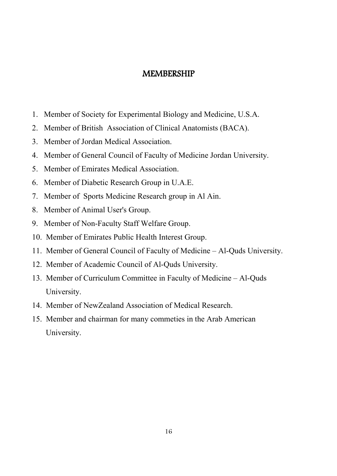## **MEMBERSHIP**

- 1. Member of Society for Experimental Biology and Medicine, U.S.A.
- 2. Member of British Association of Clinical Anatomists (BACA).
- 3. Member of Jordan Medical Association.
- 4. Member of General Council of Faculty of Medicine Jordan University.
- 5. Member of Emirates Medical Association.
- 6. Member of Diabetic Research Group in U.A.E.
- 7. Member of Sports Medicine Research group in Al Ain.
- 8. Member of Animal User's Group.
- 9. Member of Non-Faculty Staff Welfare Group.
- 10. Member of Emirates Public Health Interest Group.
- 11. Member of General Council of Faculty of Medicine Al-Quds University.
- 12. Member of Academic Council of Al-Quds University.
- 13. Member of Curriculum Committee in Faculty of Medicine Al-Quds University.
- 14. Member of NewZealand Association of Medical Research.
- 15. Member and chairman for many commeties in the Arab American University.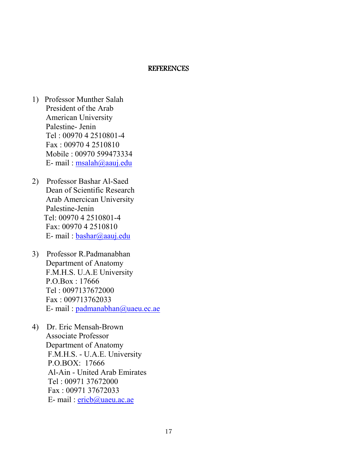#### **REFERENCES**

- 1) Professor Munther Salah President of the Arab American University Palestine- Jenin Tel : 00970 4 2510801-4 Fax : 00970 4 2510810 Mobile : 00970 599473334 E- mail : msalah@aauj.edu
- 2) Professor Bashar Al-Saed Dean of Scientific Research Arab Amercican University Palestine-Jenin Tel: 00970 4 2510801-4 Fax: 00970 4 2510810 E- mail : bashar@aauj.edu
- 3) Professor R.Padmanabhan Department of Anatomy F.M.H.S. U.A.E University P.O.Box : 17666 Tel : 0097137672000 Fax : 009713762033 E- mail : padmanabhan@uaeu.ec.ae
- 4) Dr. Eric Mensah-Brown Associate Professor Department of Anatomy F.M.H.S. - U.A.E. University P.O.BOX: 17666 Al-Ain - United Arab Emirates Tel : 00971 37672000 Fax : 00971 37672033 E- mail : ericb@uaeu.ac.ae